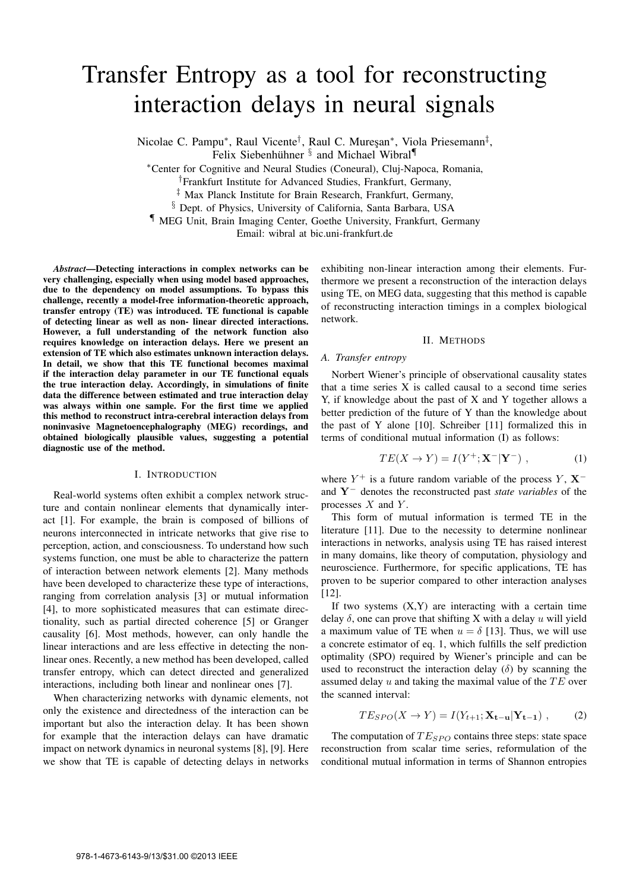# Transfer Entropy as a tool for reconstructing interaction delays in neural signals

Nicolae C. Pampu<sup>∗</sup>, Raul Vicente<sup>†</sup>, Raul C. Mureşan<sup>∗</sup>, Viola Priesemann<sup>‡</sup>,

Felix Siebenhühner <sup>§</sup> and Michael Wibral<sup>¶</sup>

*<sup>∗</sup>*Center for Cognitive and Neural Studies (Coneural), Cluj-Napoca, Romania,

*†*Frankfurt Institute for Advanced Studies, Frankfurt, Germany,

*‡* Max Planck Institute for Brain Research, Frankfurt, Germany,

*§* Dept. of Physics, University of California, Santa Barbara, USA

*¶* MEG Unit, Brain Imaging Center, Goethe University, Frankfurt, Germany

Email: wibral at bic.uni-frankfurt.de

*Abstract*—Detecting interactions in complex networks can be very challenging, especially when using model based approaches, due to the dependency on model assumptions. To bypass this challenge, recently a model-free information-theoretic approach, transfer entropy (TE) was introduced. TE functional is capable of detecting linear as well as non- linear directed interactions. However, a full understanding of the network function also requires knowledge on interaction delays. Here we present an extension of TE which also estimates unknown interaction delays. In detail, we show that this TE functional becomes maximal if the interaction delay parameter in our TE functional equals the true interaction delay. Accordingly, in simulations of finite data the difference between estimated and true interaction delay was always within one sample. For the first time we applied this method to reconstruct intra-cerebral interaction delays from noninvasive Magnetoencephalography (MEG) recordings, and obtained biologically plausible values, suggesting a potential diagnostic use of the method.

#### I. INTRODUCTION

Real-world systems often exhibit a complex network structure and contain nonlinear elements that dynamically interact [1]. For example, the brain is composed of billions of neurons interconnected in intricate networks that give rise to perception, action, and consciousness. To understand how such systems function, one must be able to characterize the pattern of interaction between network elements [2]. Many methods have been developed to characterize these type of interactions, ranging from correlation analysis [3] or mutual information [4], to more sophisticated measures that can estimate directionality, such as partial directed coherence [5] or Granger causality [6]. Most methods, however, can only handle the linear interactions and are less effective in detecting the nonlinear ones. Recently, a new method has been developed, called transfer entropy, which can detect directed and generalized interactions, including both linear and nonlinear ones [7].

When characterizing networks with dynamic elements, not only the existence and directedness of the interaction can be important but also the interaction delay. It has been shown for example that the interaction delays can have dramatic impact on network dynamics in neuronal systems [8], [9]. Here we show that TE is capable of detecting delays in networks

exhibiting non-linear interaction among their elements. Furthermore we present a reconstruction of the interaction delays using TE, on MEG data, suggesting that this method is capable of reconstructing interaction timings in a complex biological network.

# II. METHODS

#### *A. Transfer entropy*

Norbert Wiener's principle of observational causality states that a time series X is called causal to a second time series Y, if knowledge about the past of X and Y together allows a better prediction of the future of Y than the knowledge about the past of Y alone [10]. Schreiber [11] formalized this in terms of conditional mutual information (I) as follows:

$$
TE(X \to Y) = I(Y^+; \mathbf{X}^- | \mathbf{Y}^-), \tag{1}
$$

where  $Y^+$  is a future random variable of the process  $Y$ ,  $X^$ and **Y***<sup>−</sup>* denotes the reconstructed past *state variables* of the processes *X* and *Y* .

This form of mutual information is termed TE in the literature [11]. Due to the necessity to determine nonlinear interactions in networks, analysis using TE has raised interest in many domains, like theory of computation, physiology and neuroscience. Furthermore, for specific applications, TE has proven to be superior compared to other interaction analyses [12].

If two systems  $(X, Y)$  are interacting with a certain time delay *δ*, one can prove that shifting X with a delay *u* will yield a maximum value of TE when  $u = \delta$  [13]. Thus, we will use a concrete estimator of eq. 1, which fulfills the self prediction optimality (SPO) required by Wiener's principle and can be used to reconstruct the interaction delay  $(\delta)$  by scanning the assumed delay *u* and taking the maximal value of the *T E* over the scanned interval:

$$
TE_{SPO}(X \to Y) = I(Y_{t+1}; \mathbf{X_{t-u}} | \mathbf{Y_{t-1}}) ,\qquad (2)
$$

The computation of  $TE_{SPO}$  contains three steps: state space reconstruction from scalar time series, reformulation of the conditional mutual information in terms of Shannon entropies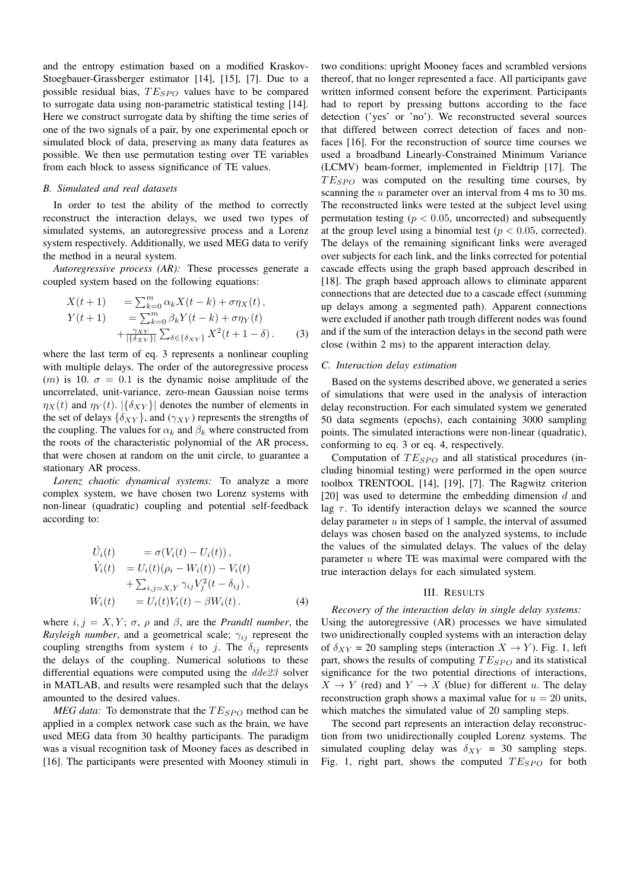and the entropy estimation based on a modified Kraskov-Stoegbauer-Grassberger estimator [14], [15], [7]. Due to a possible residual bias,  $TE_{SPO}$  values have to be compared to surrogate data using non-parametric statistical testing [14]. Here we construct surrogate data by shifting the time series of one of the two signals of a pair, by one experimental epoch or simulated block of data, preserving as many data features as possible. We then use permutation testing over TE variables from each block to assess significance of TE values.

# *B. Simulated and real datasets*

In order to test the ability of the method to correctly reconstruct the interaction delays, we used two types of simulated systems, an autoregressive process and a Lorenz system respectively. Additionally, we used MEG data to verify the method in a neural system.

*Autoregressive process (AR):* These processes generate a coupled system based on the following equations:

$$
X(t+1) = \sum_{k=0}^{m} \alpha_k X(t-k) + \sigma \eta_X(t),
$$
  
\n
$$
Y(t+1) = \sum_{k=0}^{m} \beta_k Y(t-k) + \sigma \eta_Y(t)
$$
  
\n
$$
+ \frac{\gamma_X \chi}{|\{\delta_X \chi\}|} \sum_{\delta \in \{\delta_X \chi\}} X^2(t+1-\delta).
$$
 (3)

where the last term of eq. 3 represents a nonlinear coupling with multiple delays. The order of the autoregressive process (*m*) is 10.  $\sigma = 0.1$  is the dynamic noise amplitude of the uncorrelated, unit-variance, zero-mean Gaussian noise terms  $η_X(t)$  and  $η_Y(t)$ .  $|{δ_{XY}}|$  denotes the number of elements in the set of delays  $\{\delta_{XY}\}$ , and  $(\gamma_{XY})$  represents the strengths of the coupling. The values for  $\alpha_k$  and  $\beta_k$  where constructed from the roots of the characteristic polynomial of the AR process, that were chosen at random on the unit circle, to guarantee a stationary AR process.

*Lorenz chaotic dynamical systems:* To analyze a more complex system, we have chosen two Lorenz systems with non-linear (quadratic) coupling and potential self-feedback according to:

$$
\dot{U}_i(t) = \sigma(V_i(t) - U_i(t)), \n\dot{V}_i(t) = U_i(t)(\rho_i - W_i(t)) - V_i(t) \n+ \sum_{i,j=X,Y} \gamma_{ij} V_j^2(t - \delta_{ij}), \n\dot{W}_i(t) = U_i(t) V_i(t) - \beta W_i(t).
$$
\n(4)

where  $i, j = X, Y; \sigma, \rho$  and  $\beta$ , are the *Prandtl number*, the *Rayleigh number*, and a geometrical scale; *γij* represent the coupling strengths from system *i* to *j*. The  $\delta_{ij}$  represents the delays of the coupling. Numerical solutions to these differential equations were computed using the *dde23* solver in MATLAB, and results were resampled such that the delays amounted to the desired values.

*MEG data:* To demonstrate that the  $TE_{SPO}$  method can be applied in a complex network case such as the brain, we have used MEG data from 30 healthy participants. The paradigm was a visual recognition task of Mooney faces as described in [16]. The participants were presented with Mooney stimuli in two conditions: upright Mooney faces and scrambled versions thereof, that no longer represented a face. All participants gave written informed consent before the experiment. Participants had to report by pressing buttons according to the face detection ('yes' or 'no'). We reconstructed several sources that differed between correct detection of faces and nonfaces [16]. For the reconstruction of source time courses we used a broadband Linearly-Constrained Minimum Variance (LCMV) beam-former, implemented in Fieldtrip [17]. The  $TE<sub>SPO</sub>$  was computed on the resulting time courses, by scanning the *u* parameter over an interval from 4 ms to 30 ms. The reconstructed links were tested at the subject level using permutation testing ( $p < 0.05$ , uncorrected) and subsequently at the group level using a binomial test ( $p < 0.05$ , corrected). The delays of the remaining significant links were averaged over subjects for each link, and the links corrected for potential cascade effects using the graph based approach described in [18]. The graph based approach allows to eliminate apparent connections that are detected due to a cascade effect (summing up delays among a segmented path). Apparent connections were excluded if another path trough different nodes was found and if the sum of the interaction delays in the second path were close (within 2 ms) to the apparent interaction delay.

## *C. Interaction delay estimation*

Based on the systems described above, we generated a series of simulations that were used in the analysis of interaction delay reconstruction. For each simulated system we generated 50 data segments (epochs), each containing 3000 sampling points. The simulated interactions were non-linear (quadratic), conforming to eq. 3 or eq. 4, respectively.

Computation of  $TE_{SPO}$  and all statistical procedures (including binomial testing) were performed in the open source toolbox TRENTOOL [14], [19], [7]. The Ragwitz criterion [20] was used to determine the embedding dimension *d* and lag  $\tau$ . To identify interaction delays we scanned the source delay parameter *u* in steps of 1 sample, the interval of assumed delays was chosen based on the analyzed systems, to include the values of the simulated delays. The values of the delay parameter *u* where TE was maximal were compared with the true interaction delays for each simulated system.

#### III. RESULTS

*Recovery of the interaction delay in single delay systems:* Using the autoregressive (AR) processes we have simulated two unidirectionally coupled systems with an interaction delay of  $\delta_{XY}$  = 20 sampling steps (interaction  $X \to Y$ ). Fig. 1, left part, shows the results of computing  $TE_{SPO}$  and its statistical significance for the two potential directions of interactions,  $X \rightarrow Y$  (red) and  $Y \rightarrow X$  (blue) for different *u*. The delay reconstruction graph shows a maximal value for  $u = 20$  units, which matches the simulated value of 20 sampling steps.

The second part represents an interaction delay reconstruction from two unidirectionally coupled Lorenz systems. The simulated coupling delay was  $\delta_{XY}$  = 30 sampling steps. Fig. 1, right part, shows the computed  $TE_{SPO}$  for both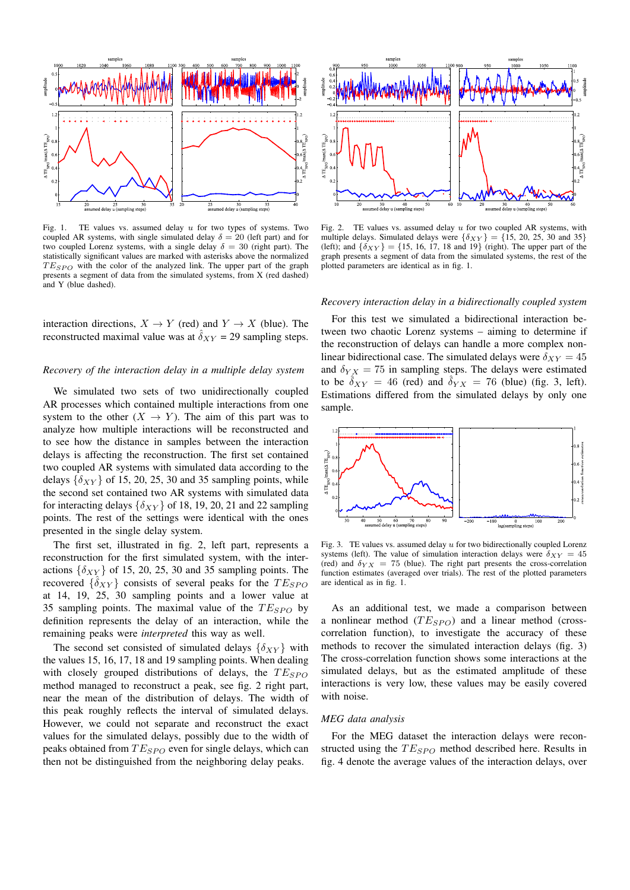

Fig. 1. TE values vs. assumed delay *u* for two types of systems. Two coupled AR systems, with single simulated delay  $\delta = 20$  (left part) and for two coupled Lorenz systems, with a single delay  $\delta = 30$  (right part). The statistically significant values are marked with asterisks above the normalized  $TE<sub>SPO</sub>$  with the color of the analyzed link. The upper part of the graph presents a segment of data from the simulated systems, from X (red dashed) and Y (blue dashed).

interaction directions,  $X \to Y$  (red) and  $Y \to X$  (blue). The reconstructed maximal value was at  $\delta_{XY}$  = 29 sampling steps.

## *Recovery of the interaction delay in a multiple delay system*

We simulated two sets of two unidirectionally coupled AR processes which contained multiple interactions from one system to the other  $(X \to Y)$ . The aim of this part was to analyze how multiple interactions will be reconstructed and to see how the distance in samples between the interaction delays is affecting the reconstruction. The first set contained two coupled AR systems with simulated data according to the delays  $\{\delta_{XY}\}\$  of 15, 20, 25, 30 and 35 sampling points, while the second set contained two AR systems with simulated data for interacting delays  $\{\delta_{XY}\}$  of 18, 19, 20, 21 and 22 sampling points. The rest of the settings were identical with the ones presented in the single delay system.

The first set, illustrated in fig. 2, left part, represents a reconstruction for the first simulated system, with the interactions  $\{\delta_{XY}\}\$  of 15, 20, 25, 30 and 35 sampling points. The recovered  $\{\hat{\delta}_{XY}\}$  consists of several peaks for the  $TE_{SPO}$ at 14, 19, 25, 30 sampling points and a lower value at 35 sampling points. The maximal value of the  $TE_{SPO}$  by definition represents the delay of an interaction, while the remaining peaks were *interpreted* this way as well.

The second set consisted of simulated delays  $\{\delta_{XY}\}\$  with the values 15, 16, 17, 18 and 19 sampling points. When dealing with closely grouped distributions of delays, the  $TE_{SPO}$ method managed to reconstruct a peak, see fig. 2 right part, near the mean of the distribution of delays. The width of this peak roughly reflects the interval of simulated delays. However, we could not separate and reconstruct the exact values for the simulated delays, possibly due to the width of peaks obtained from  $TE_{SPO}$  even for single delays, which can then not be distinguished from the neighboring delay peaks.



Fig. 2. TE values vs. assumed delay *u* for two coupled AR systems, with multiple delays. Simulated delays were  $\{\delta_{XY}\} = \{15, 20, 25, 30 \text{ and } 35\}$ (left); and  $\{\delta_{XY}\} = \{15, 16, 17, 18 \text{ and } 19\}$  (right). The upper part of the graph presents a segment of data from the simulated systems, the rest of the plotted parameters are identical as in fig. 1.

#### *Recovery interaction delay in a bidirectionally coupled system*

For this test we simulated a bidirectional interaction between two chaotic Lorenz systems – aiming to determine if the reconstruction of delays can handle a more complex nonlinear bidirectional case. The simulated delays were  $\delta_{XY} = 45$ and  $\delta_{YX} = 75$  in sampling steps. The delays were estimated to be  $\delta_{XY} = 46$  (red) and  $\delta_{YX} = 76$  (blue) (fig. 3, left). Estimations differed from the simulated delays by only one sample.



Fig. 3. TE values vs. assumed delay *u* for two bidirectionally coupled Lorenz systems (left). The value of simulation interaction delays were  $\delta_{XY} = 45$ (red) and  $\delta_{YX}$  = 75 (blue). The right part presents the cross-correlation function estimates (averaged over trials). The rest of the plotted parameters are identical as in fig. 1.

As an additional test, we made a comparison between a nonlinear method  $(T E_{SPO})$  and a linear method (crosscorrelation function), to investigate the accuracy of these methods to recover the simulated interaction delays (fig. 3) The cross-correlation function shows some interactions at the simulated delays, but as the estimated amplitude of these interactions is very low, these values may be easily covered with noise.

#### *MEG data analysis*

For the MEG dataset the interaction delays were reconstructed using the  $TE_{SPO}$  method described here. Results in fig. 4 denote the average values of the interaction delays, over